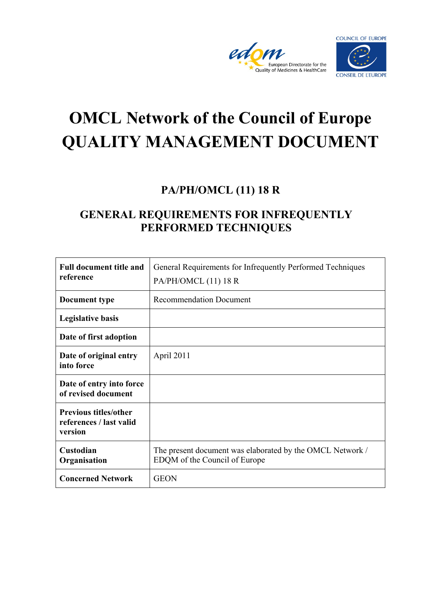



# **OMCL Network of the Council of Europe QUALITY MANAGEMENT DOCUMENT**

## **PA/PH/OMCL (11) 18 R**

## **GENERAL REQUIREMENTS FOR INFREQUENTLY PERFORMED TECHNIQUES**

| <b>Full document title and</b><br>reference                        | General Requirements for Infrequently Performed Techniques<br>PA/PH/OMCL (11) 18 R         |
|--------------------------------------------------------------------|--------------------------------------------------------------------------------------------|
| Document type                                                      | <b>Recommendation Document</b>                                                             |
| <b>Legislative basis</b>                                           |                                                                                            |
| Date of first adoption                                             |                                                                                            |
| Date of original entry<br>into force                               | April 2011                                                                                 |
| Date of entry into force<br>of revised document                    |                                                                                            |
| <b>Previous titles/other</b><br>references / last valid<br>version |                                                                                            |
| Custodian<br>Organisation                                          | The present document was elaborated by the OMCL Network /<br>EDQM of the Council of Europe |
| <b>Concerned Network</b>                                           | <b>GEON</b>                                                                                |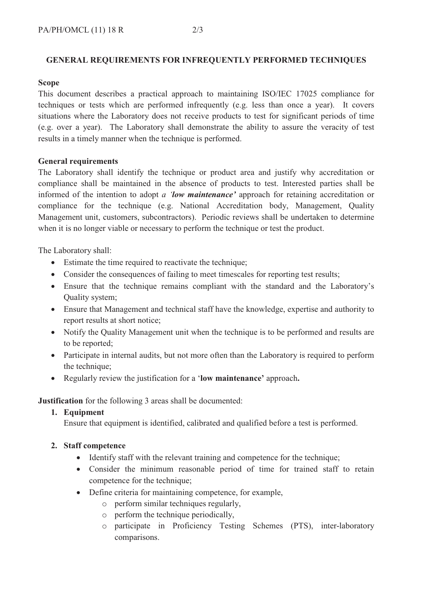#### **GENERAL REQUIREMENTS FOR INFREQUENTLY PERFORMED TECHNIQUES**

#### **Scope**

This document describes a practical approach to maintaining ISO/IEC 17025 compliance for techniques or tests which are performed infrequently (e.g. less than once a year). It covers situations where the Laboratory does not receive products to test for significant periods of time (e.g. over a year). The Laboratory shall demonstrate the ability to assure the veracity of test results in a timely manner when the technique is performed.

#### **General requirements**

The Laboratory shall identify the technique or product area and justify why accreditation or compliance shall be maintained in the absence of products to test. Interested parties shall be informed of the intention to adopt a 'low maintenance' approach for retaining accreditation or compliance for the technique (e.g. National Accreditation body, Management, Quality Management unit, customers, subcontractors). Periodic reviews shall be undertaken to determine when it is no longer viable or necessary to perform the technique or test the product.

The Laboratory shall:

- Estimate the time required to reactivate the technique;
- Consider the consequences of failing to meet timescales for reporting test results;
- Ensure that the technique remains compliant with the standard and the Laboratory's Quality system;
- Ensure that Management and technical staff have the knowledge, expertise and authority to report results at short notice;
- Notify the Quality Management unit when the technique is to be performed and results are to be reported;
- Participate in internal audits, but not more often than the Laboratory is required to perform the technique;
- Regularly review the justification for a 'low maintenance' approach.

**Justification** for the following 3 areas shall be documented:

#### 1. Equipment

Ensure that equipment is identified, calibrated and qualified before a test is performed.

### 2. Staff competence

- Identify staff with the relevant training and competence for the technique;
- Consider the minimum reasonable period of time for trained staff to retain competence for the technique;
- Define criteria for maintaining competence, for example,
	- o perform similar techniques regularly,
	- o perform the technique periodically,
	- o participate in Proficiency Testing Schemes (PTS), inter-laboratory comparisons.